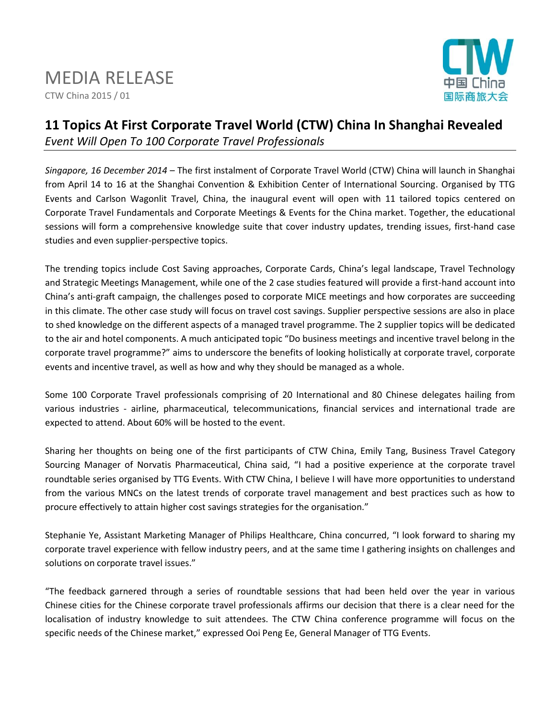# MEDIA RELEASE

CTW China 2015 / 01



## **11 Topics At First Corporate Travel World (CTW) China In Shanghai Revealed** *Event Will Open To 100 Corporate Travel Professionals*

*Singapore, 16 December 2014* – The first instalment of Corporate Travel World (CTW) China will launch in Shanghai from April 14 to 16 at the Shanghai Convention & Exhibition Center of International Sourcing. Organised by TTG Events and Carlson Wagonlit Travel, China, the inaugural event will open with 11 tailored topics centered on Corporate Travel Fundamentals and Corporate Meetings & Events for the China market. Together, the educational sessions will form a comprehensive knowledge suite that cover industry updates, trending issues, first-hand case studies and even supplier-perspective topics.

The trending topics include Cost Saving approaches, Corporate Cards, China's legal landscape, Travel Technology and Strategic Meetings Management, while one of the 2 case studies featured will provide a first-hand account into China's anti-graft campaign, the challenges posed to corporate MICE meetings and how corporates are succeeding in this climate. The other case study will focus on travel cost savings. Supplier perspective sessions are also in place to shed knowledge on the different aspects of a managed travel programme. The 2 supplier topics will be dedicated to the air and hotel components. A much anticipated topic "Do business meetings and incentive travel belong in the corporate travel programme?" aims to underscore the benefits of looking holistically at corporate travel, corporate events and incentive travel, as well as how and why they should be managed as a whole.

Some 100 Corporate Travel professionals comprising of 20 International and 80 Chinese delegates hailing from various industries - airline, pharmaceutical, telecommunications, financial services and international trade are expected to attend. About 60% will be hosted to the event.

Sharing her thoughts on being one of the first participants of CTW China, Emily Tang, Business Travel Category Sourcing Manager of Norvatis Pharmaceutical, China said, "I had a positive experience at the corporate travel roundtable series organised by TTG Events. With CTW China, I believe I will have more opportunities to understand from the various MNCs on the latest trends of corporate travel management and best practices such as how to procure effectively to attain higher cost savings strategies for the organisation."

Stephanie Ye, Assistant Marketing Manager of Philips Healthcare, China concurred, "I look forward to sharing my corporate travel experience with fellow industry peers, and at the same time I gathering insights on challenges and solutions on corporate travel issues."

"The feedback garnered through a series of roundtable sessions that had been held over the year in various Chinese cities for the Chinese corporate travel professionals affirms our decision that there is a clear need for the localisation of industry knowledge to suit attendees. The CTW China conference programme will focus on the specific needs of the Chinese market," expressed Ooi Peng Ee, General Manager of TTG Events.